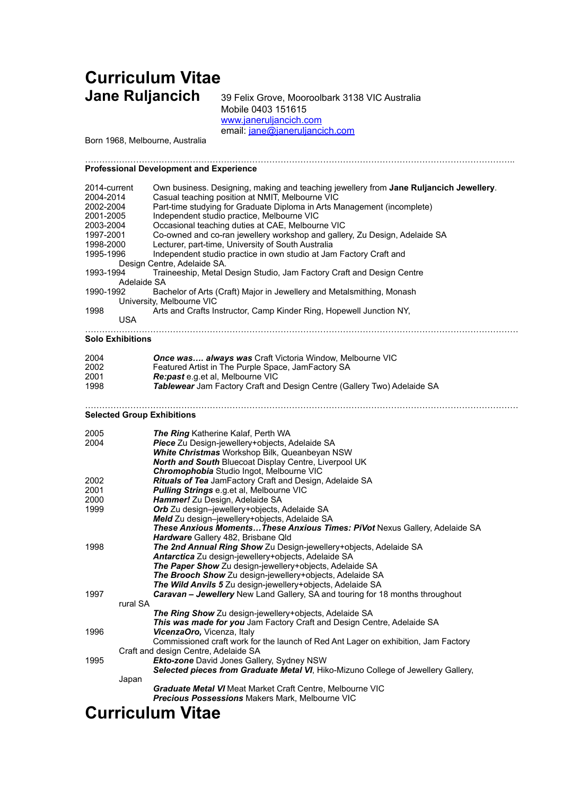# **Curriculum Vitae**

**Jane Ruljancich** 39 Felix Grove, Mooroolbark 3138 VIC Australia Mobile 0403 151615 www.janeruljancich.com email: [jane@janeruljancich.com](mailto:jane@janeruljancich.com)

Born 1968, Melbourne, Australia

### …………………………………………………………………………………………………………………………………….. **Professional Development and Experience**

| 2014-current           |                         | Own business. Designing, making and teaching jewellery from Jane Ruljancich Jewellery.                                                |
|------------------------|-------------------------|---------------------------------------------------------------------------------------------------------------------------------------|
| 2004-2014              |                         | Casual teaching position at NMIT, Melbourne VIC                                                                                       |
| 2002-2004<br>2001-2005 |                         | Part-time studying for Graduate Diploma in Arts Management (incomplete)<br>Independent studio practice, Melbourne VIC                 |
| 2003-2004              |                         | Occasional teaching duties at CAE, Melbourne VIC                                                                                      |
| 1997-2001              |                         | Co-owned and co-ran jewellery workshop and gallery, Zu Design, Adelaide SA                                                            |
| 1998-2000              |                         | Lecturer, part-time, University of South Australia                                                                                    |
| 1995-1996              |                         | Independent studio practice in own studio at Jam Factory Craft and                                                                    |
|                        |                         | Design Centre, Adelaide SA.                                                                                                           |
| 1993-1994              |                         | Traineeship, Metal Design Studio, Jam Factory Craft and Design Centre                                                                 |
|                        | Adelaide SA             |                                                                                                                                       |
| 1990-1992              |                         | Bachelor of Arts (Craft) Major in Jewellery and Metalsmithing, Monash<br>University, Melbourne VIC                                    |
| 1998                   |                         | Arts and Crafts Instructor, Camp Kinder Ring, Hopewell Junction NY,                                                                   |
|                        | <b>USA</b>              |                                                                                                                                       |
|                        | <b>Solo Exhibitions</b> |                                                                                                                                       |
| 2004                   |                         | <b>Once was always was Craft Victoria Window, Melbourne VIC</b>                                                                       |
| 2002                   |                         | Featured Artist in The Purple Space, JamFactory SA                                                                                    |
| 2001                   |                         | Re:past e.g.et al, Melbourne VIC                                                                                                      |
| 1998                   |                         | Tablewear Jam Factory Craft and Design Centre (Gallery Two) Adelaide SA                                                               |
|                        |                         |                                                                                                                                       |
|                        |                         | <b>Selected Group Exhibitions</b>                                                                                                     |
| 2005                   |                         | The Ring Katherine Kalaf, Perth WA                                                                                                    |
| 2004                   |                         | Piece Zu Design-jewellery+objects, Adelaide SA                                                                                        |
|                        |                         | White Christmas Workshop Bilk, Queanbeyan NSW                                                                                         |
|                        |                         | North and South Bluecoat Display Centre, Liverpool UK                                                                                 |
|                        |                         | Chromophobia Studio Ingot, Melbourne VIC                                                                                              |
| 2002                   |                         | Rituals of Tea JamFactory Craft and Design, Adelaide SA                                                                               |
| 2001                   |                         | Pulling Strings e.g.et al, Melbourne VIC                                                                                              |
| 2000<br>1999           |                         | Hammer! Zu Design, Adelaide SA<br>Orb Zu design-jewellery+objects, Adelaide SA                                                        |
|                        |                         | Meld Zu design-jewellery+objects, Adelaide SA                                                                                         |
|                        |                         | These Anxious Moments These Anxious Times: PiVot Nexus Gallery, Adelaide SA                                                           |
|                        |                         | Hardware Gallery 482, Brisbane Qld                                                                                                    |
| 1998                   |                         | The 2nd Annual Ring Show Zu Design-jewellery+objects, Adelaide SA                                                                     |
|                        |                         | Antarctica Zu design-jewellery+objects, Adelaide SA                                                                                   |
|                        |                         | The Paper Show Zu design-jewellery+objects, Adelaide SA                                                                               |
|                        |                         | The Brooch Show Zu design-jewellery+objects, Adelaide SA                                                                              |
|                        |                         | The Wild Anvils 5 Zu design-jewellery+objects, Adelaide SA                                                                            |
| 1997                   |                         | Caravan - Jewellery New Land Gallery, SA and touring for 18 months throughout                                                         |
|                        | rural SA                |                                                                                                                                       |
|                        |                         | The Ring Show Zu design-jewellery+objects, Adelaide SA                                                                                |
|                        |                         | This was made for you Jam Factory Craft and Design Centre, Adelaide SA                                                                |
| 1996                   |                         | VicenzaOro, Vicenza, Italy                                                                                                            |
|                        |                         | Commissioned craft work for the launch of Red Ant Lager on exhibition, Jam Factory                                                    |
|                        |                         | Craft and design Centre, Adelaide SA                                                                                                  |
| 1995                   |                         | <b>Ekto-zone</b> David Jones Gallery, Sydney NSW<br>Selected pieces from Graduate Metal VI, Hiko-Mizuno College of Jewellery Gallery, |
|                        | Japan                   |                                                                                                                                       |
|                        |                         | Graduate Metal VI Meat Market Craft Centre, Melbourne VIC                                                                             |
|                        |                         | <b>Precious Possessions Makers Mark, Melbourne VIC</b>                                                                                |
|                        |                         | iaulum Viitaa                                                                                                                         |

## **Curriculum Vitae**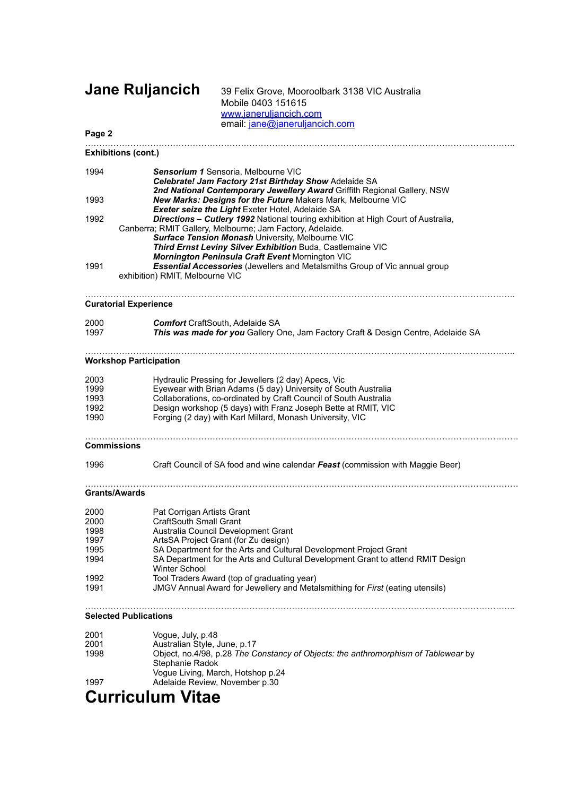**Jane Ruljancich** 39 Felix Grove, Mooroolbark 3138 VIC Australia Mobile 0403 151615 [www.janeruljancich.com](http://www.janeruljancich.com) email: <u>jane@janeruljancich.com</u>

| Page 2                                                       |                                                                                                                                                                                                                                                                                                                                                                                                                                                            |  |
|--------------------------------------------------------------|------------------------------------------------------------------------------------------------------------------------------------------------------------------------------------------------------------------------------------------------------------------------------------------------------------------------------------------------------------------------------------------------------------------------------------------------------------|--|
|                                                              | <b>Exhibitions (cont.)</b>                                                                                                                                                                                                                                                                                                                                                                                                                                 |  |
| 1994                                                         | Sensorium 1 Sensoria, Melbourne VIC<br>Celebrate! Jam Factory 21st Birthday Show Adelaide SA<br>2nd National Contemporary Jewellery Award Griffith Regional Gallery, NSW                                                                                                                                                                                                                                                                                   |  |
| 1993                                                         | New Marks: Designs for the Future Makers Mark, Melbourne VIC<br>Exeter seize the Light Exeter Hotel, Adelaide SA                                                                                                                                                                                                                                                                                                                                           |  |
| 1992                                                         | Directions - Cutlery 1992 National touring exhibition at High Court of Australia,<br>Canberra; RMIT Gallery, Melbourne; Jam Factory, Adelaide.<br>Surface Tension Monash University, Melbourne VIC<br>Third Ernst Leviny Silver Exhibition Buda, Castlemaine VIC<br>Mornington Peninsula Craft Event Mornington VIC                                                                                                                                        |  |
| 1991                                                         | <b>Essential Accessories (Jewellers and Metalsmiths Group of Vic annual group</b><br>exhibition) RMIT, Melbourne VIC                                                                                                                                                                                                                                                                                                                                       |  |
|                                                              | <b>Curatorial Experience</b>                                                                                                                                                                                                                                                                                                                                                                                                                               |  |
| 2000<br>1997                                                 | <b>Comfort</b> CraftSouth, Adelaide SA<br>This was made for you Gallery One, Jam Factory Craft & Design Centre, Adelaide SA                                                                                                                                                                                                                                                                                                                                |  |
|                                                              | <b>Workshop Participation</b>                                                                                                                                                                                                                                                                                                                                                                                                                              |  |
| 2003<br>1999<br>1993<br>1992<br>1990                         | Hydraulic Pressing for Jewellers (2 day) Apecs, Vic<br>Eyewear with Brian Adams (5 day) University of South Australia<br>Collaborations, co-ordinated by Craft Council of South Australia<br>Design workshop (5 days) with Franz Joseph Bette at RMIT, VIC<br>Forging (2 day) with Karl Millard, Monash University, VIC                                                                                                                                    |  |
| <b>Commissions</b>                                           |                                                                                                                                                                                                                                                                                                                                                                                                                                                            |  |
| 1996                                                         | Craft Council of SA food and wine calendar Feast (commission with Maggie Beer)                                                                                                                                                                                                                                                                                                                                                                             |  |
|                                                              | <b>Grants/Awards</b>                                                                                                                                                                                                                                                                                                                                                                                                                                       |  |
| 2000<br>2000<br>1998<br>1997<br>1995<br>1994<br>1992<br>1991 | Pat Corrigan Artists Grant<br><b>CraftSouth Small Grant</b><br>Australia Council Development Grant<br>ArtsSA Project Grant (for Zu design)<br>SA Department for the Arts and Cultural Development Project Grant<br>SA Department for the Arts and Cultural Development Grant to attend RMIT Design<br><b>Winter School</b><br>Tool Traders Award (top of graduating year)<br>JMGV Annual Award for Jewellery and Metalsmithing for First (eating utensils) |  |
|                                                              | <b>Selected Publications</b>                                                                                                                                                                                                                                                                                                                                                                                                                               |  |
| 2001                                                         |                                                                                                                                                                                                                                                                                                                                                                                                                                                            |  |
|                                                              | Vogue, July, p.48                                                                                                                                                                                                                                                                                                                                                                                                                                          |  |

2001 Australian Style, June, p.17 1998 Object, no.4/98, p.28 *The Constancy of Objects: the anthromorphism of Tablewear* by Stephanie Radok Vogue Living, March, Hotshop p.24 1997 Adelaide Review, November p.30

# **Curriculum Vitae**